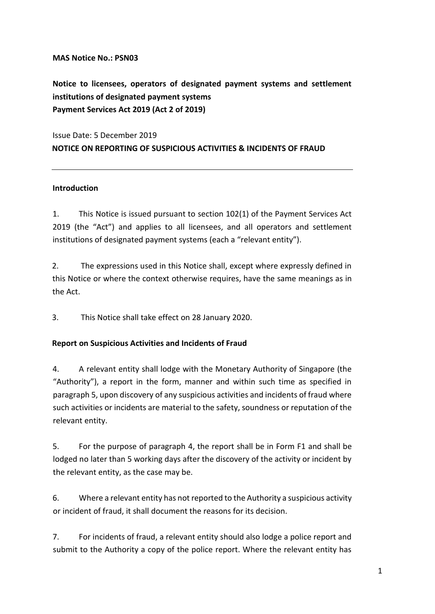## **MAS Notice No.: PSN03**

**Notice to licensees, operators of designated payment systems and settlement institutions of designated payment systems Payment Services Act 2019 (Act 2 of 2019)**

Issue Date: 5 December 2019 **NOTICE ON REPORTING OF SUSPICIOUS ACTIVITIES & INCIDENTS OF FRAUD** 

## **Introduction**

1. This Notice is issued pursuant to section 102(1) of the Payment Services Act 2019 (the "Act") and applies to all licensees, and all operators and settlement institutions of designated payment systems (each a "relevant entity").

2. The expressions used in this Notice shall, except where expressly defined in this Notice or where the context otherwise requires, have the same meanings as in the Act.

3. This Notice shall take effect on 28 January 2020.

# **Report on Suspicious Activities and Incidents of Fraud**

4. A relevant entity shall lodge with the Monetary Authority of Singapore (the "Authority"), a report in the form, manner and within such time as specified in paragraph 5, upon discovery of any suspicious activities and incidents of fraud where such activities or incidents are material to the safety, soundness or reputation of the relevant entity.

5. For the purpose of paragraph 4, the report shall be in Form F1 and shall be lodged no later than 5 working days after the discovery of the activity or incident by the relevant entity, as the case may be.

6. Where a relevant entity has not reported to the Authority a suspicious activity or incident of fraud, it shall document the reasons for its decision.

7. For incidents of fraud, a relevant entity should also lodge a police report and submit to the Authority a copy of the police report. Where the relevant entity has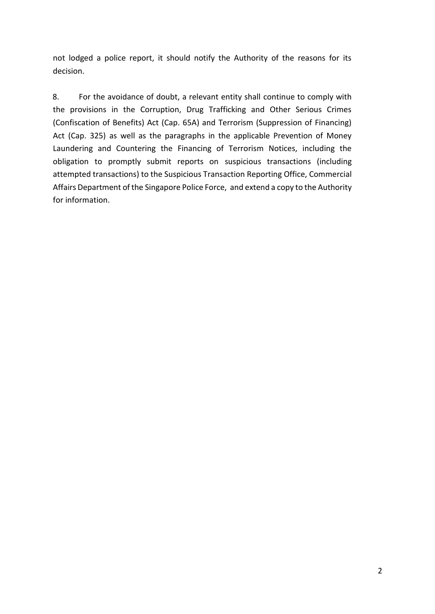not lodged a police report, it should notify the Authority of the reasons for its decision.

8. For the avoidance of doubt, a relevant entity shall continue to comply with the provisions in the Corruption, Drug Trafficking and Other Serious Crimes (Confiscation of Benefits) Act (Cap. 65A) and Terrorism (Suppression of Financing) Act (Cap. 325) as well as the paragraphs in the applicable Prevention of Money Laundering and Countering the Financing of Terrorism Notices, including the obligation to promptly submit reports on suspicious transactions (including attempted transactions) to the Suspicious Transaction Reporting Office, Commercial Affairs Department of the Singapore Police Force, and extend a copy to the Authority for information.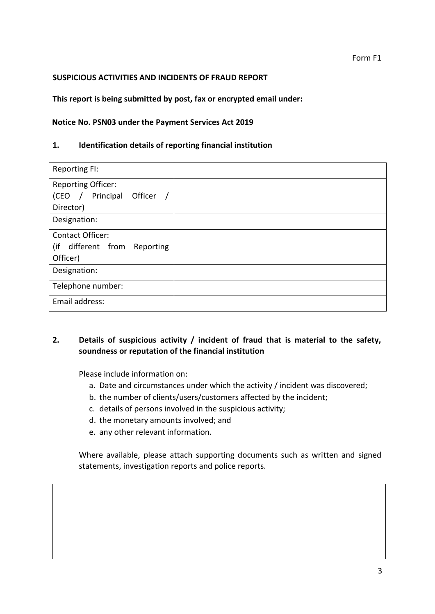### Form F1

### **SUSPICIOUS ACTIVITIES AND INCIDENTS OF FRAUD REPORT**

### **This report is being submitted by post, fax or encrypted email under:**

#### **Notice No. PSN03 under the Payment Services Act 2019**

#### **1. Identification details of reporting financial institution**

| <b>Reporting FI:</b>                          |  |
|-----------------------------------------------|--|
| <b>Reporting Officer:</b>                     |  |
| Principal<br>Officer<br>(CEO<br>$\frac{1}{2}$ |  |
| Director)                                     |  |
| Designation:                                  |  |
| <b>Contact Officer:</b>                       |  |
| (if<br>different from Reporting               |  |
| Officer)                                      |  |
| Designation:                                  |  |
| Telephone number:                             |  |
| Email address:                                |  |

# **2. Details of suspicious activity / incident of fraud that is material to the safety, soundness or reputation of the financial institution**

Please include information on:

- a. Date and circumstances under which the activity / incident was discovered;
- b. the number of clients/users/customers affected by the incident;
- c. details of persons involved in the suspicious activity;
- d. the monetary amounts involved; and
- e. any other relevant information.

Where available, please attach supporting documents such as written and signed statements, investigation reports and police reports.